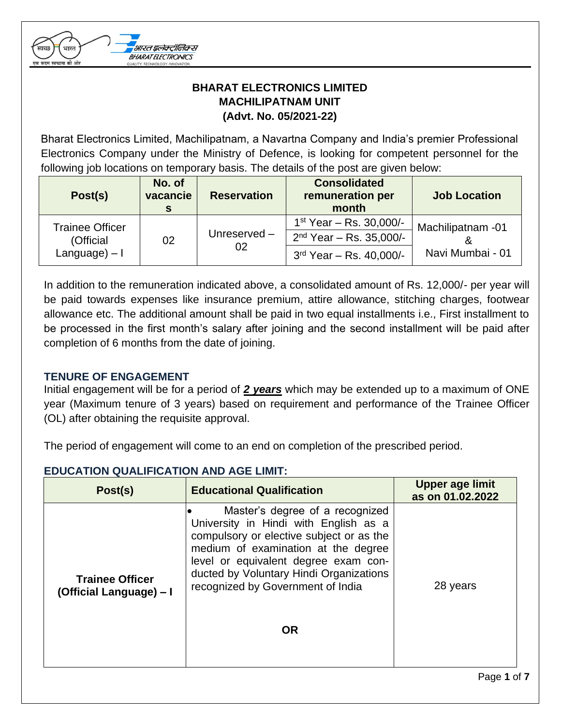

# **BHARAT ELECTRONICS LIMITED MACHILIPATNAM UNIT (Advt. No. 05/2021-22)**

Bharat Electronics Limited, Machilipatnam, a Navartna Company and India's premier Professional Electronics Company under the Ministry of Defence, is looking for competent personnel for the following job locations on temporary basis. The details of the post are given below:

| Post(s)                      | No. of<br>vacancie | <b>Reservation</b> | <b>Consolidated</b><br>remuneration per<br>month | <b>Job Location</b> |  |
|------------------------------|--------------------|--------------------|--------------------------------------------------|---------------------|--|
| <b>Trainee Officer</b>       |                    |                    | $1^{st}$ Year – Rs. 30,000/-                     | Machilipatnam -01   |  |
| (Official<br>$Language) - I$ | 02                 | Unreserved-<br>02  | $2nd$ Year – Rs. 35,000/-                        |                     |  |
|                              |                    |                    | $3rd$ Year – Rs. 40,000/-                        | Navi Mumbai - 01    |  |

In addition to the remuneration indicated above, a consolidated amount of Rs. 12,000/- per year will be paid towards expenses like insurance premium, attire allowance, stitching charges, footwear allowance etc. The additional amount shall be paid in two equal installments i.e., First installment to be processed in the first month's salary after joining and the second installment will be paid after completion of 6 months from the date of joining.

## **TENURE OF ENGAGEMENT**

Initial engagement will be for a period of *2 years* which may be extended up to a maximum of ONE year (Maximum tenure of 3 years) based on requirement and performance of the Trainee Officer (OL) after obtaining the requisite approval.

The period of engagement will come to an end on completion of the prescribed period.

#### **EDUCATION QUALIFICATION AND AGE LIMIT:**

| Post(s)                                           | <b>Educational Qualification</b>                                                                                                                                                                                                                                                                 | Upper age limit<br>as on 01.02.2022 |
|---------------------------------------------------|--------------------------------------------------------------------------------------------------------------------------------------------------------------------------------------------------------------------------------------------------------------------------------------------------|-------------------------------------|
| <b>Trainee Officer</b><br>(Official Language) - I | Master's degree of a recognized<br>University in Hindi with English as a<br>compulsory or elective subject or as the<br>medium of examination at the degree<br>level or equivalent degree exam con-<br>ducted by Voluntary Hindi Organizations<br>recognized by Government of India<br><b>OR</b> | 28 years                            |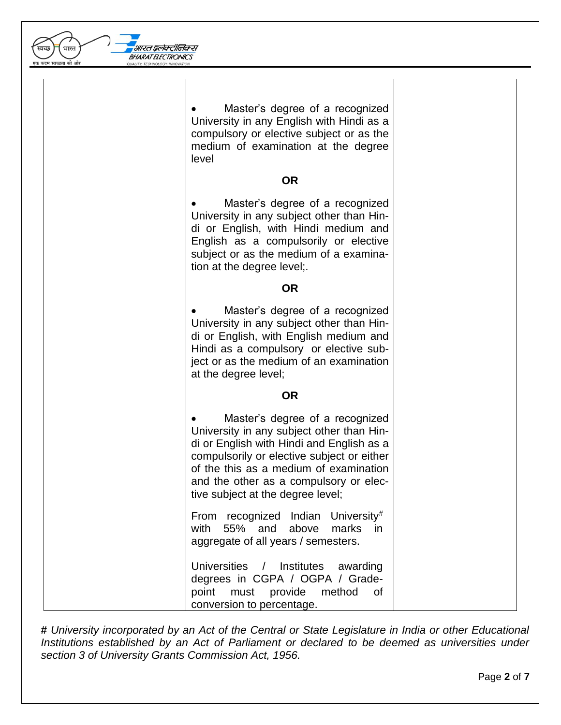| एक कदम स्वच्छता की ओर | BHARAT ELECTRONICS<br>OUALITY TECHNOLOGY INNOVATI                                                                                                                                                                                                                                                |
|-----------------------|--------------------------------------------------------------------------------------------------------------------------------------------------------------------------------------------------------------------------------------------------------------------------------------------------|
|                       | Master's degree of a recognized<br>University in any English with Hindi as a<br>compulsory or elective subject or as the<br>medium of examination at the degree<br>level                                                                                                                         |
|                       | <b>OR</b>                                                                                                                                                                                                                                                                                        |
|                       | Master's degree of a recognized<br>University in any subject other than Hin-<br>di or English, with Hindi medium and<br>English as a compulsorily or elective<br>subject or as the medium of a examina-<br>tion at the degree level;.                                                            |
|                       | <b>OR</b>                                                                                                                                                                                                                                                                                        |
|                       | Master's degree of a recognized<br>University in any subject other than Hin-<br>di or English, with English medium and<br>Hindi as a compulsory or elective sub-<br>ject or as the medium of an examination<br>at the degree level;                                                              |
|                       | <b>OR</b>                                                                                                                                                                                                                                                                                        |
|                       | Master's degree of a recognized<br>University in any subject other than Hin-<br>di or English with Hindi and English as a<br>compulsorily or elective subject or either<br>of the this as a medium of examination<br>and the other as a compulsory or elec-<br>tive subject at the degree level; |
|                       | From recognized Indian University#<br>55% and above<br>marks<br>with<br>in.<br>aggregate of all years / semesters.                                                                                                                                                                               |
|                       | <b>Universities</b><br>Institutes awarding<br>$\frac{1}{2}$<br>degrees in CGPA / OGPA / Grade-<br>point must provide<br>method<br>of<br>conversion to percentage.                                                                                                                                |

।<br>अस्ति इलेक्ट्रॉनिक्स

 $\left(\sqrt{2}\right)^{-1}$ भारत $\left(\sqrt{2}\right)^{-1}$ 

**#** *University incorporated by an Act of the Central or State Legislature in India or other Educational Institutions established by an Act of Parliament or declared to be deemed as universities under section 3 of University Grants Commission Act, 1956.*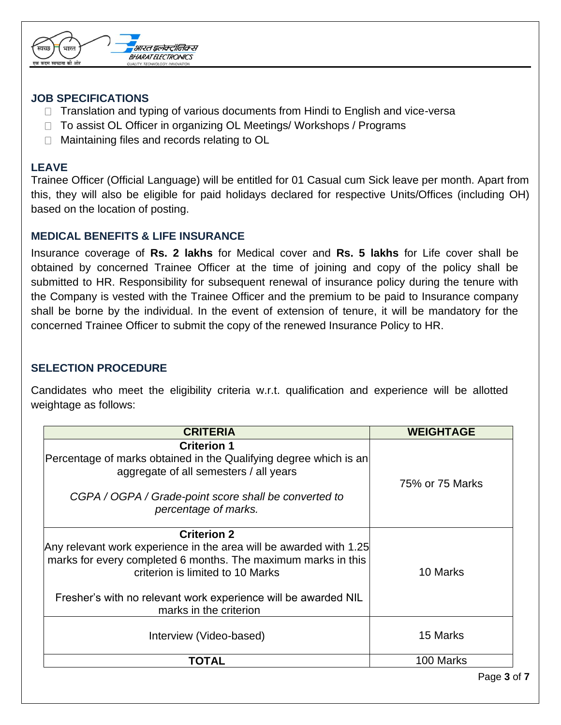

#### **JOB SPECIFICATIONS**

- $\Box$  Translation and typing of various documents from Hindi to English and vice-versa
- $\Box$  To assist OL Officer in organizing OL Meetings/ Workshops / Programs
- □ Maintaining files and records relating to OL

## **LEAVE**

Trainee Officer (Official Language) will be entitled for 01 Casual cum Sick leave per month. Apart from this, they will also be eligible for paid holidays declared for respective Units/Offices (including OH) based on the location of posting.

#### **MEDICAL BENEFITS & LIFE INSURANCE**

Insurance coverage of **Rs. 2 lakhs** for Medical cover and **Rs. 5 lakhs** for Life cover shall be obtained by concerned Trainee Officer at the time of joining and copy of the policy shall be submitted to HR. Responsibility for subsequent renewal of insurance policy during the tenure with the Company is vested with the Trainee Officer and the premium to be paid to Insurance company shall be borne by the individual. In the event of extension of tenure, it will be mandatory for the concerned Trainee Officer to submit the copy of the renewed Insurance Policy to HR.

## **SELECTION PROCEDURE**

Candidates who meet the eligibility criteria w.r.t. qualification and experience will be allotted weightage as follows:

| <b>CRITERIA</b>                                                                                                                                                                                                                                                 | <b>WEIGHTAGE</b> |
|-----------------------------------------------------------------------------------------------------------------------------------------------------------------------------------------------------------------------------------------------------------------|------------------|
| <b>Criterion 1</b><br>Percentage of marks obtained in the Qualifying degree which is an<br>aggregate of all semesters / all years<br>CGPA / OGPA / Grade-point score shall be converted to<br>percentage of marks.                                              | 75% or 75 Marks  |
| <b>Criterion 2</b><br>Any relevant work experience in the area will be awarded with 1.25<br>marks for every completed 6 months. The maximum marks in this<br>criterion is limited to 10 Marks<br>Fresher's with no relevant work experience will be awarded NIL | 10 Marks         |
| marks in the criterion<br>Interview (Video-based)                                                                                                                                                                                                               | 15 Marks         |
| <b>TOTAL</b>                                                                                                                                                                                                                                                    | 100 Marks        |
|                                                                                                                                                                                                                                                                 | Page 3 of 7      |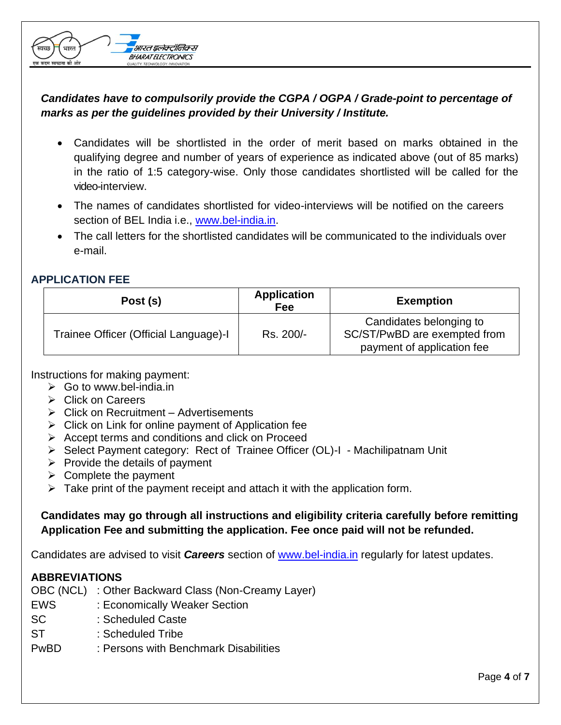## *Candidates have to compulsorily provide the CGPA / OGPA / Grade-point to percentage of marks as per the guidelines provided by their University / Institute.*

- Candidates will be shortlisted in the order of merit based on marks obtained in the qualifying degree and number of years of experience as indicated above (out of 85 marks) in the ratio of 1:5 category-wise. Only those candidates shortlisted will be called for the video-interview.
- The names of candidates shortlisted for video-interviews will be notified on the careers section of BEL India i.e., [www.bel-india.in.](http://www.bel-india.in/)
- The call letters for the shortlisted candidates will be communicated to the individuals over e-mail.

## **APPLICATION FEE**

| Post (s)                              | <b>Application</b><br>Fee | <b>Exemption</b>                                                                      |
|---------------------------------------|---------------------------|---------------------------------------------------------------------------------------|
| Trainee Officer (Official Language)-I | Rs. 200/-                 | Candidates belonging to<br>SC/ST/PwBD are exempted from<br>payment of application fee |

Instructions for making payment:

- $\triangleright$  Go to [www.bel-india.in](http://www.bel-india.in/)
- ➢ Click on Careers
- ➢ Click on Recruitment Advertisements

सारत इलेक्ट्रॉनिक्स **BHARAT ELECTRONICS** QUALITY, TECHNOLOGY, INNOVAT

- $\triangleright$  Click on Link for online payment of Application fee
- ➢ Accept terms and conditions and click on Proceed
- ➢ Select Payment category: Rect of Trainee Officer (OL)-I Machilipatnam Unit
- $\triangleright$  Provide the details of payment
- $\triangleright$  Complete the payment
- $\triangleright$  Take print of the payment receipt and attach it with the application form.

## **Candidates may go through all instructions and eligibility criteria carefully before remitting Application Fee and submitting the application. Fee once paid will not be refunded.**

Candidates are advised to visit *Careers* section of [www.bel-india.in](http://www.bel-india.in/) regularly for latest updates.

## **ABBREVIATIONS**

- OBC (NCL) : Other Backward Class (Non-Creamy Layer)
- EWS : Economically Weaker Section
- SC : Scheduled Caste
- ST : Scheduled Tribe
- PwBD : Persons with Benchmark Disabilities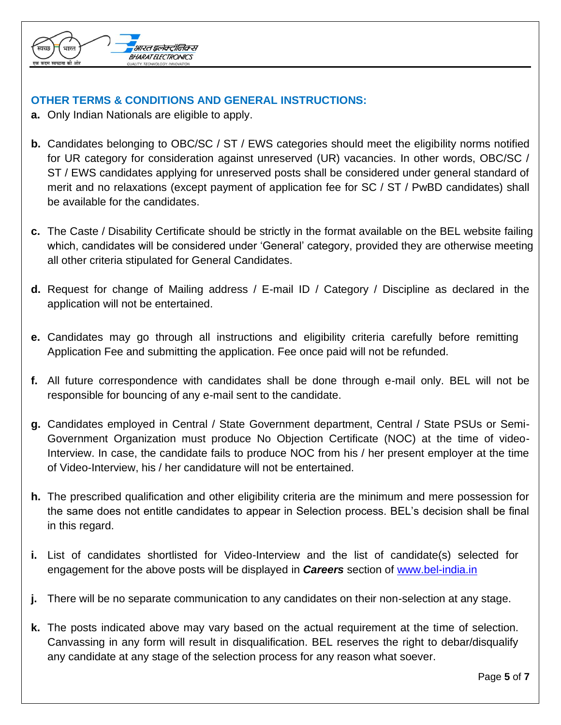

## **OTHER TERMS & CONDITIONS AND GENERAL INSTRUCTIONS:**

- **a.** Only Indian Nationals are eligible to apply.
- **b.** Candidates belonging to OBC/SC / ST / EWS categories should meet the eligibility norms notified for UR category for consideration against unreserved (UR) vacancies. In other words, OBC/SC / ST / EWS candidates applying for unreserved posts shall be considered under general standard of merit and no relaxations (except payment of application fee for SC / ST / PwBD candidates) shall be available for the candidates.
- **c.** The Caste / Disability Certificate should be strictly in the format available on the BEL website failing which, candidates will be considered under 'General' category, provided they are otherwise meeting all other criteria stipulated for General Candidates.
- **d.** Request for change of Mailing address / E-mail ID / Category / Discipline as declared in the application will not be entertained.
- **e.** Candidates may go through all instructions and eligibility criteria carefully before remitting Application Fee and submitting the application. Fee once paid will not be refunded.
- **f.** All future correspondence with candidates shall be done through e-mail only. BEL will not be responsible for bouncing of any e-mail sent to the candidate.
- **g.** Candidates employed in Central / State Government department, Central / State PSUs or Semi-Government Organization must produce No Objection Certificate (NOC) at the time of video-Interview. In case, the candidate fails to produce NOC from his / her present employer at the time of Video-Interview, his / her candidature will not be entertained.
- **h.** The prescribed qualification and other eligibility criteria are the minimum and mere possession for the same does not entitle candidates to appear in Selection process. BEL's decision shall be final in this regard.
- **i.** List of candidates shortlisted for Video-Interview and the list of candidate(s) selected for engagement for the above posts will be displayed in *Careers* section of [www.bel-india.in](http://www.bel-india.in/)
- **j.** There will be no separate communication to any candidates on their non-selection at any stage.
- **k.** The posts indicated above may vary based on the actual requirement at the time of selection. Canvassing in any form will result in disqualification. BEL reserves the right to debar/disqualify any candidate at any stage of the selection process for any reason what soever.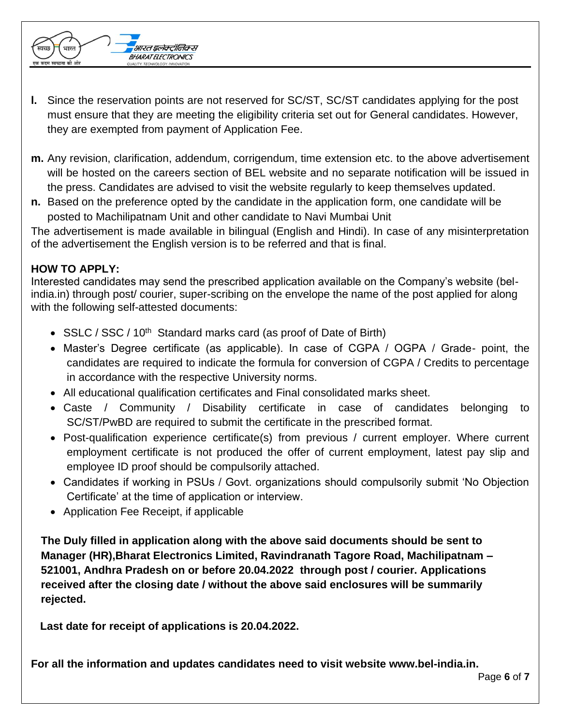

- **m.** Any revision, clarification, addendum, corrigendum, time extension etc. to the above advertisement will be hosted on the careers section of BEL website and no separate notification will be issued in the press. Candidates are advised to visit the website regularly to keep themselves updated.
- **n.** Based on the preference opted by the candidate in the application form, one candidate will be posted to Machilipatnam Unit and other candidate to Navi Mumbai Unit

The advertisement is made available in bilingual (English and Hindi). In case of any misinterpretation of the advertisement the English version is to be referred and that is final.

## **HOW TO APPLY:**

Interested candidates may send the prescribed application available on the Company's website (belindia.in) through post/ courier, super-scribing on the envelope the name of the post applied for along with the following self-attested documents:

- SSLC / SSC / 10<sup>th</sup> Standard marks card (as proof of Date of Birth)
- Master's Degree certificate (as applicable). In case of CGPA / OGPA / Grade- point, the candidates are required to indicate the formula for conversion of CGPA / Credits to percentage in accordance with the respective University norms.
- All educational qualification certificates and Final consolidated marks sheet.
- Caste / Community / Disability certificate in case of candidates belonging to SC/ST/PwBD are required to submit the certificate in the prescribed format.
- Post-qualification experience certificate(s) from previous / current employer. Where current employment certificate is not produced the offer of current employment, latest pay slip and employee ID proof should be compulsorily attached.
- Candidates if working in PSUs / Govt. organizations should compulsorily submit 'No Objection Certificate' at the time of application or interview.
- Application Fee Receipt, if applicable

सारत इलेक्ट्रॉनिक्स **BHARAT ELECTRONICS** QUALITY, TECHNOLOGY, INNOVA

**The Duly filled in application along with the above said documents should be sent to Manager (HR),Bharat Electronics Limited, Ravindranath Tagore Road, Machilipatnam – 521001, Andhra Pradesh on or before 20.04.2022 through post / courier. Applications received after the closing date / without the above said enclosures will be summarily rejected.**

 **Last date for receipt of applications is 20.04.2022.**

**For all the information and updates candidates need to visit website [www.bel-india.in.](http://www.bel-india.in/)**